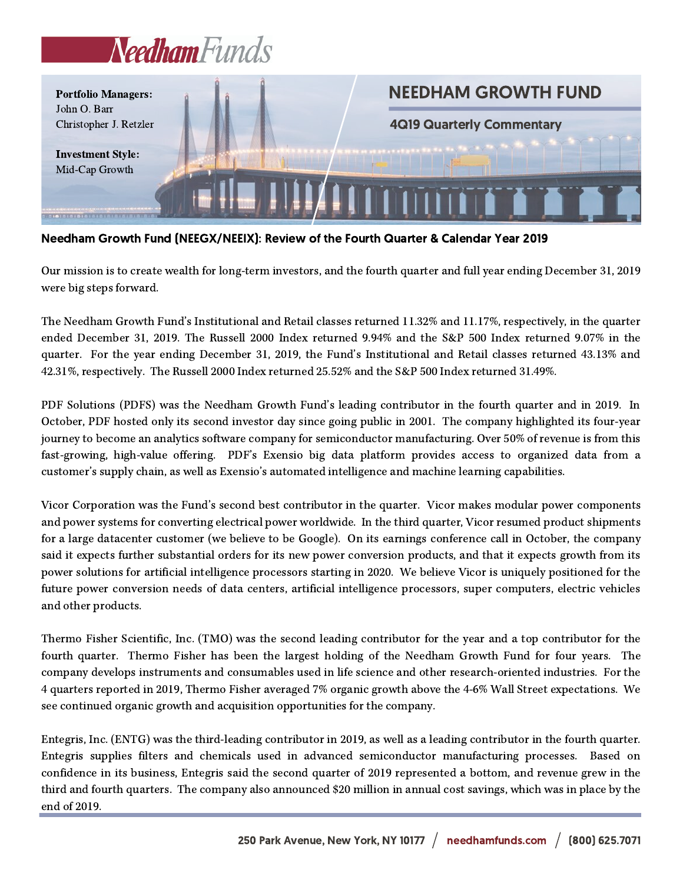



Needham Growth Fund (NEEGX/NEEIX): Review of the Fourth Quarter & Calendar Year 2019

Our mission is to create wealth for long-term investors, and the fourth quarter and full year ending December 31, 2019 were big steps forward.

The Needham Growth Fund's Institutional and Retail classes returned 11.32% and 11.17%, respectively, in the quarter ended December 31, 2019. The Russell 2000 Index returned 9.94% and the S&P 500 Index returned 9.07% in the quarter. For the year ending December 31, 2019, the Fund's Institutional and Retail classes returned 43.13% and 42.31%, respectively. The Russell 2000 Index returned 25.52% and the S&P 500 Index returned 31.49%.

PDF Solutions (PDFS) was the Needham Growth Fund's leading contributor in the fourth quarter and in 2019. In October, PDF hosted only its second investor day since going public in 2001. The company highlighted its four-year journey to become an analytics software company for semiconductor manufacturing. Over 50% of revenue is from this fast-growing, high-value offering. PDF's Exensio big data platform provides access to organized data from a customer's supply chain, as well as Exensio's automated intelligence and machine learning capabilities.

Vicor Corporation was the Fund's second best contributor in the quarter. Vicor makes modular power components and power systems for converting electrical power worldwide. In the third quarter, Vicor resumed product shipments for a large datacenter customer (we believe to be Google). On its earnings conference call in October, the company said it expects further substantial orders for its new power conversion products, and that it expects growth from its power solutions for artificial intelligence processors starting in 2020. We believe Vicor is uniquely positioned for the future power conversion needs of data centers, artificial intelligence processors, super computers, electric vehicles and other products.

Thermo Fisher Scientific, Inc. (TMO) was the second leading contributor for the year and a top contributor for the fourth quarter. Thermo Fisher has been the largest holding of the Needham Growth Fund for four years. The company develops instruments and consumables used in life science and other research-oriented industries. For the 4 quarters reported in 2019, Thermo Fisher averaged 7% organic growth above the 4-6% Wall Street expectations. We see continued organic growth and acquisition opportunities for the company.

Entegris, Inc. (ENTG) was the third-leading contributor in 2019, as well as a leading contributor in the fourth quarter. Entegris supplies filters and chemicals used in advanced semiconductor manufacturing processes. Based on confidence in its business, Entegris said the second quarter of 2019 represented a bottom, and revenue grew in the third and fourth quarters. The company also announced \$20 million in annual cost savings, which was in place by the end of 2019.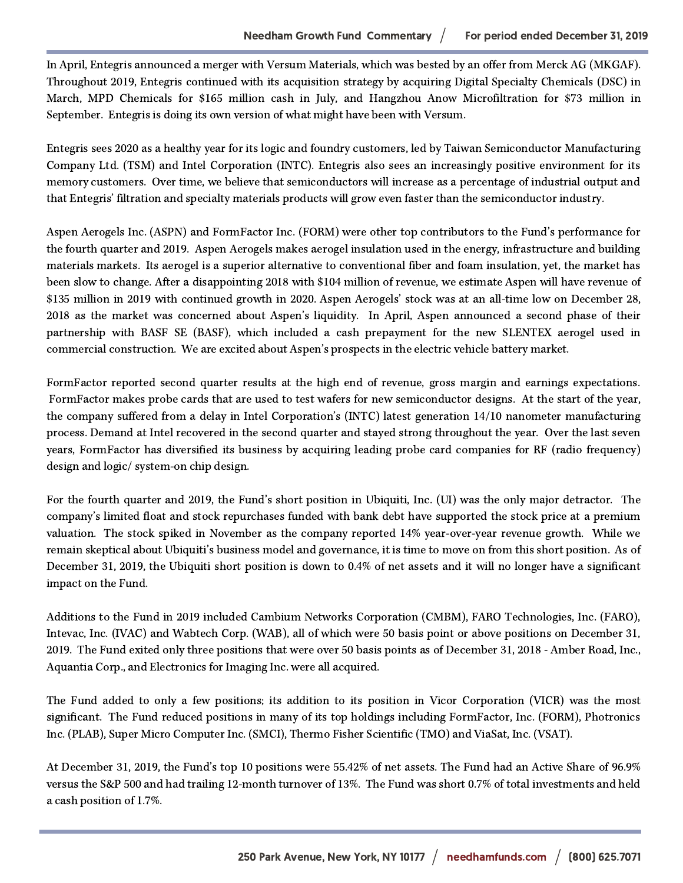In April, Entegris announced a merger with Versum Materials, which was bested by an offer from Merck AG (MKGAF). Throughout 2019, Entegris continued with its acquisition strategy by acquiring Digital Specialty Chemicals (DSC) in March, MPD Chemicals for \$165 million cash in July, and Hangzhou Anow Microfiltration for \$73 million in September. Entegris is doing its own version of what might have been with Versum.

Entegris sees 2020 as a healthy year for its logic and foundry customers, led by Taiwan Semiconductor Manufacturing Company Ltd. (TSM) and Intel Corporation (INTC). Entegris also sees an increasingly positive environment for its memory customers. Over time, we believe that semiconductors will increase as a percentage of industrial output and that Entegris' filtration and specialty materials products will grow even faster than the semiconductor industry.

Aspen Aerogels Inc. (ASPN) and FormFactor Inc. (FORM) were other top contributors to the Fund's performance for the fourth quarter and 2019. Aspen Aerogels makes aerogel insulation used in the energy, infrastructure and building materials markets. Its aerogel is a superior alternative to conventional fiber and foam insulation, yet, the market has been slow to change. After a disappointing 2018 with \$104 million of revenue, we estimate Aspen will have revenue of \$135 million in 2019 with continued growth in 2020. Aspen Aerogels' stock was at an all-time low on December 28, 2018 as the market was concerned about Aspen's liquidity. In April, Aspen announced a second phase of their partnership with BASF SE (BASF), which included a cash prepayment for the new SLENTEX aerogel used in commercial construction. We are excited about Aspen's prospects in the electric vehicle battery market.

FormFactor reported second quarter results at the high end of revenue, gross margin and earnings expectations. FormFactor makes probe cards that are used to test wafers for new semiconductor designs. At the start of the year, the company suffered from a delay in Intel Corporation's (INTC) latest generation 14/10 nanometer manufacturing process. Demand at Intel recovered in the second quarter and stayed strong throughout the year. Over the last seven years, FormFactor has diversified its business by acquiring leading probe card companies for RF (radio frequency) design and logic/ system-on chip design.

For the fourth quarter and 2019, the Fund's short position in Ubiquiti, Inc. (UI) was the only major detractor. The company's limited float and stock repurchases funded with bank debt have supported the stock price at a premium valuation. The stock spiked in November as the company reported 14% year-over-year revenue growth. While we remain skeptical about Ubiquiti's business model and governance, it is time to move on from this short position. As of December 31, 2019, the Ubiquiti short position is down to 0.4% of net assets and it will no longer have a significant impact on the Fund.

Additions to the Fund in 2019 included Cambium Networks Corporation (CMBM), FARO Technologies, Inc. (FARO), Intevac, Inc. (IVAC) and Wabtech Corp. (WAB), all of which were 50 basis point or above positions on December 31, 2019. The Fund exited only three positions that were over 50 basis points as of December 31, 2018 - Amber Road, Inc., Aquantia Corp., and Electronics for Imaging Inc. were all acquired.

The Fund added to only a few positions; its addition to its position in Vicor Corporation (VICR) was the most significant. The Fund reduced positions in many of its top holdings including FormFactor, Inc. (FORM), Photronics Inc. (PLAB), Super Micro Computer Inc. (SMCI), Thermo Fisher Scientific (TMO) and ViaSat, Inc. (VSAT).

At December 31, 2019, the Fund's top 10 positions were 55.42% of net assets. The Fund had an Active Share of 96.9% versus the S&P 500 and had trailing 12-month turnover of 13%. The Fund was short 0.7% of total investments and held a cash position of 1.7%.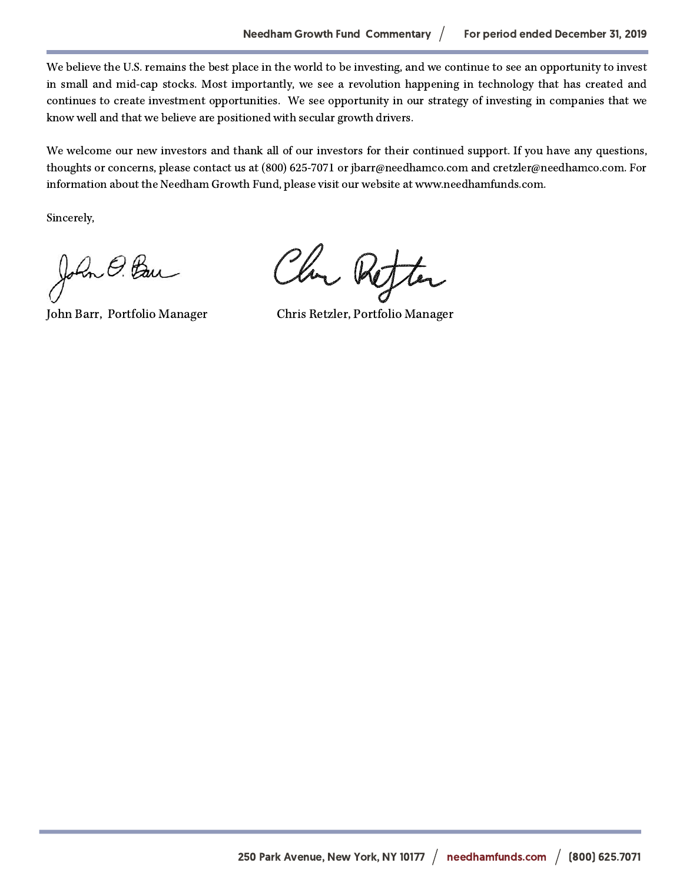We believe the U.S. remains the best place in the world to be investing, and we continue to see an opportunity to invest in small and mid-cap stocks. Most importantly, we see a revolution happening in technology that has created and continues to create investment opportunities. We see opportunity in our strategy of investing in companies that we know well and that we believe are positioned with secular growth drivers.

We welcome our new investors and thank all of our investors for their continued support. If you have any questions, thoughts or concerns, please contact us at (800) 625-7071 or jbarr@needhamco.com and cretzler@needhamco.com. For information about the Needham Growth Fund, please visit our website at www.needhamfunds.com.

Sincerely,

John O. Ban

Chan Refter

John Barr, Portfolio Manager Chris Retzler, Portfolio Manager